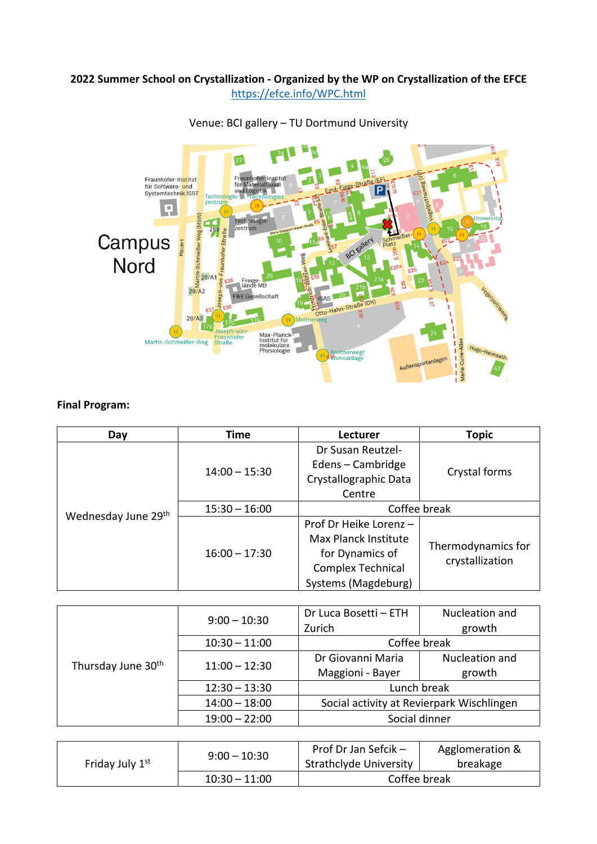## **2022 Summer School on Crystallization - Organized by the WP on Crystallization of the EFCE** https://efce.info/WPC.html



Venue: BCI gallery – TU Dortmund University

## **Final Program:**

| Day                 | <b>Time</b>     | Lecturer                                                                                                      | <b>Topic</b>                          |
|---------------------|-----------------|---------------------------------------------------------------------------------------------------------------|---------------------------------------|
| Wednesday June 29th | $14:00 - 15:30$ | Dr Susan Reutzel-<br>Edens – Cambridge<br>Crystallographic Data<br>Centre                                     | Crystal forms                         |
|                     | $15:30 - 16:00$ | Coffee break                                                                                                  |                                       |
|                     | $16:00 - 17:30$ | Prof Dr Heike Lorenz -<br>Max Planck Institute<br>for Dynamics of<br>Complex Technical<br>Systems (Magdeburg) | Thermodynamics for<br>crystallization |

| Thursday June 30 <sup>th</sup> | $9:00 - 10:30$  | Dr Luca Bosetti - ETH                     | Nucleation and |
|--------------------------------|-----------------|-------------------------------------------|----------------|
|                                |                 | Zurich                                    | growth         |
|                                | $10:30 - 11:00$ | Coffee break                              |                |
|                                | $11:00 - 12:30$ | Dr Giovanni Maria                         | Nucleation and |
|                                |                 | Maggioni - Bayer                          | growth         |
|                                | $12:30 - 13:30$ | Lunch break                               |                |
|                                | $14:00 - 18:00$ | Social activity at Revierpark Wischlingen |                |
|                                | $19:00 - 22:00$ | Social dinner                             |                |

| Friday July 1 <sup>st</sup> | $9:00 - 10:30$  | Prof Dr Jan Sefcik -<br><b>Strathclyde University</b> | Agglomeration &<br>breakage |
|-----------------------------|-----------------|-------------------------------------------------------|-----------------------------|
|                             | $10:30 - 11:00$ | Coffee break                                          |                             |